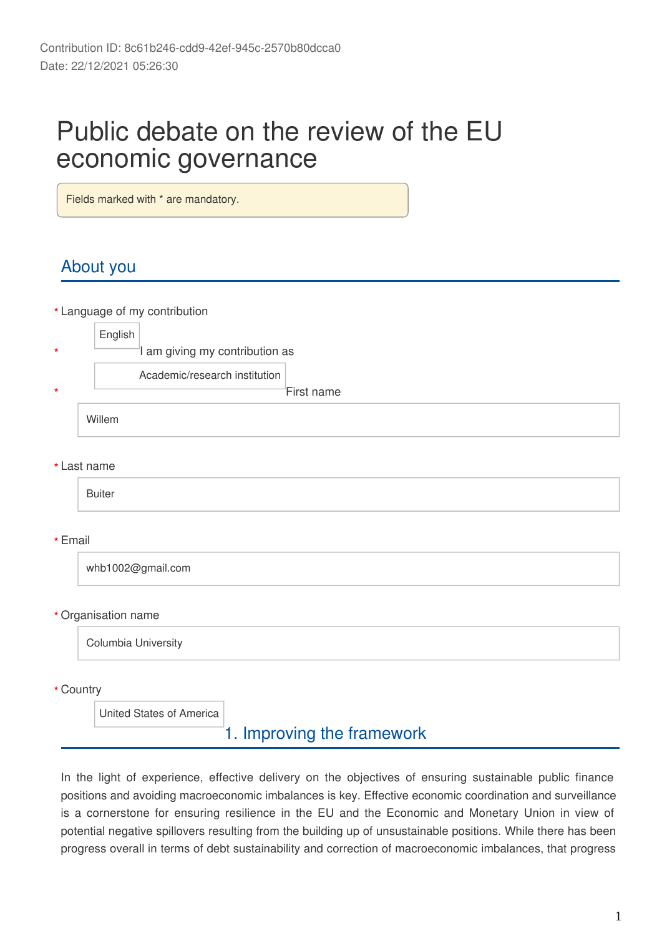# Public debate on the review of the EU economic governance

Fields marked with \* are mandatory.

# About you

Language of my contribution **\***

|         | English                        |            |
|---------|--------------------------------|------------|
| $\star$ | I am giving my contribution as |            |
|         | Academic/research institution  |            |
| $\star$ |                                | First name |
|         | Willem                         |            |

Last name **\***

Buiter

#### Email **\***

whb1002@gmail.com

#### Organisation name **\***

Columbia University

Country **\***

United States of America

### 1. Improving the framework

In the light of experience, effective delivery on the objectives of ensuring sustainable public finance positions and avoiding macroeconomic imbalances is key. Effective economic coordination and surveillance is a cornerstone for ensuring resilience in the EU and the Economic and Monetary Union in view of potential negative spillovers resulting from the building up of unsustainable positions. While there has been progress overall in terms of debt sustainability and correction of macroeconomic imbalances, that progress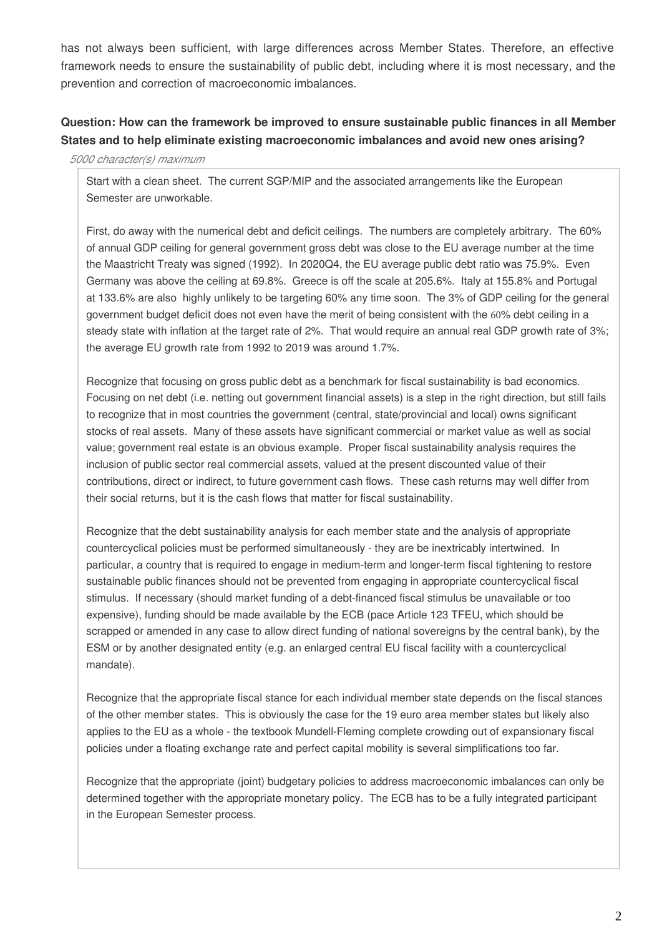has not always been sufficient, with large differences across Member States. Therefore, an effective framework needs to ensure the sustainability of public debt, including where it is most necessary, and the prevention and correction of macroeconomic imbalances.

### **Question: How can the framework be improved to ensure sustainable public finances in all Member States and to help eliminate existing macroeconomic imbalances and avoid new ones arising?**

#### *5000 character(s) maximum*

Start with a clean sheet. The current SGP/MIP and the associated arrangements like the European Semester are unworkable.

First, do away with the numerical debt and deficit ceilings. The numbers are completely arbitrary. The 60% of annual GDP ceiling for general government gross debt was close to the EU average number at the time the Maastricht Treaty was signed (1992). In 2020Q4, the EU average public debt ratio was 75.9%. Even Germany was above the ceiling at 69.8%. Greece is off the scale at 205.6%. Italy at 155.8% and Portugal at 133.6% are also highly unlikely to be targeting 60% any time soon. The 3% of GDP ceiling for the general government budget deficit does not even have the merit of being consistent with the 60% debt ceiling in a steady state with inflation at the target rate of 2%. That would require an annual real GDP growth rate of 3%; the average EU growth rate from 1992 to 2019 was around 1.7%.

Recognize that focusing on gross public debt as a benchmark for fiscal sustainability is bad economics. Focusing on net debt (i.e. netting out government financial assets) is a step in the right direction, but still fails to recognize that in most countries the government (central, state/provincial and local) owns significant stocks of real assets. Many of these assets have significant commercial or market value as well as social value; government real estate is an obvious example. Proper fiscal sustainability analysis requires the inclusion of public sector real commercial assets, valued at the present discounted value of their contributions, direct or indirect, to future government cash flows. These cash returns may well differ from their social returns, but it is the cash flows that matter for fiscal sustainability.

Recognize that the debt sustainability analysis for each member state and the analysis of appropriate countercyclical policies must be performed simultaneously - they are be inextricably intertwined. In particular, a country that is required to engage in medium-term and longer-term fiscal tightening to restore sustainable public finances should not be prevented from engaging in appropriate countercyclical fiscal stimulus. If necessary (should market funding of a debt-financed fiscal stimulus be unavailable or too expensive), funding should be made available by the ECB (pace Article 123 TFEU, which should be scrapped or amended in any case to allow direct funding of national sovereigns by the central bank), by the ESM or by another designated entity (e.g. an enlarged central EU fiscal facility with a countercyclical mandate).

Recognize that the appropriate fiscal stance for each individual member state depends on the fiscal stances of the other member states. This is obviously the case for the 19 euro area member states but likely also applies to the EU as a whole - the textbook Mundell-Fleming complete crowding out of expansionary fiscal policies under a floating exchange rate and perfect capital mobility is several simplifications too far.

Recognize that the appropriate (joint) budgetary policies to address macroeconomic imbalances can only be determined together with the appropriate monetary policy. The ECB has to be a fully integrated participant in the European Semester process.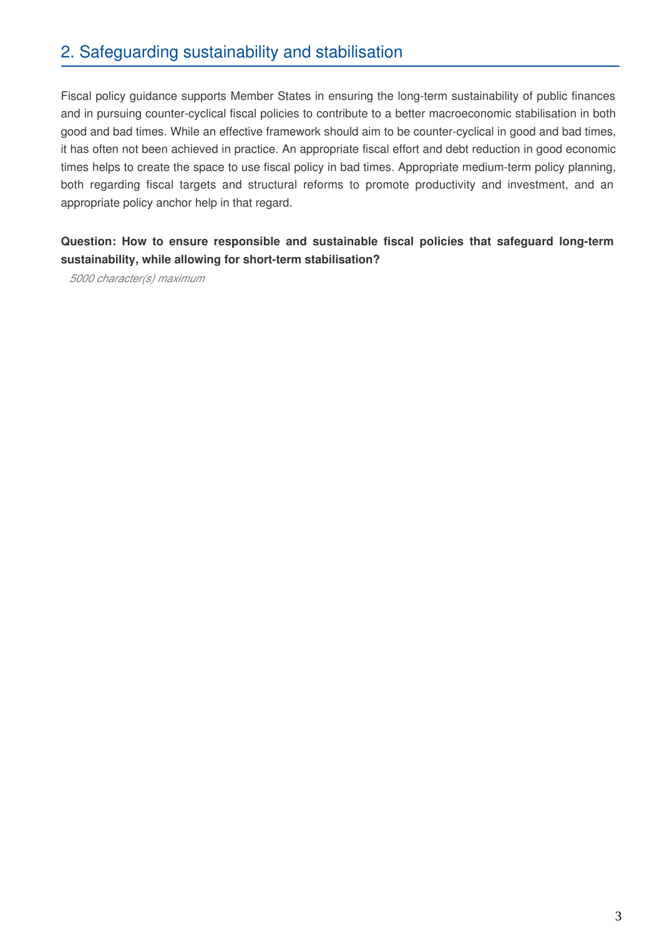# 2. Safeguarding sustainability and stabilisation

Fiscal policy guidance supports Member States in ensuring the long-term sustainability of public finances and in pursuing counter-cyclical fiscal policies to contribute to a better macroeconomic stabilisation in both good and bad times. While an effective framework should aim to be counter-cyclical in good and bad times, it has often not been achieved in practice. An appropriate fiscal effort and debt reduction in good economic times helps to create the space to use fiscal policy in bad times. Appropriate medium-term policy planning, both regarding fiscal targets and structural reforms to promote productivity and investment, and an appropriate policy anchor help in that regard.

#### **Question: How to ensure responsible and sustainable fiscal policies that safeguard long-term sustainability, while allowing for short-term stabilisation?**

*5000 character(s) maximum*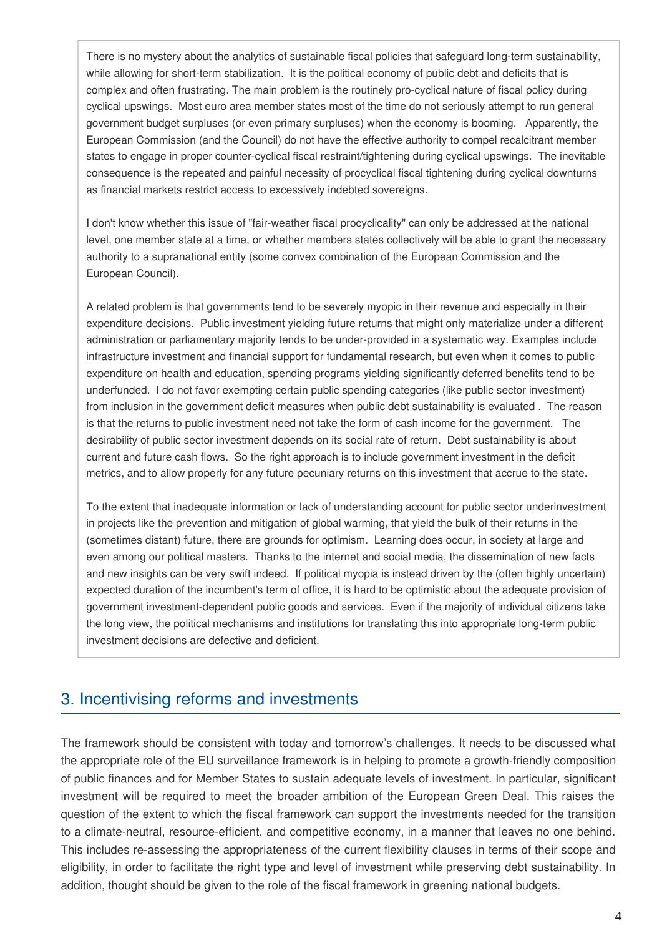There is no mystery about the analytics of sustainable fiscal policies that safeguard long-term sustainability, while allowing for short-term stabilization. It is the political economy of public debt and deficits that is complex and often frustrating. The main problem is the routinely pro-cyclical nature of fiscal policy during cyclical upswings. Most euro area member states most of the time do not seriously attempt to run general government budget surpluses (or even primary surpluses) when the economy is booming. Apparently, the European Commission (and the Council) do not have the effective authority to compel recalcitrant member states to engage in proper counter-cyclical fiscal restraint/tightening during cyclical upswings. The inevitable consequence is the repeated and painful necessity of procyclical fiscal tightening during cyclical downturns as financial markets restrict access to excessively indebted sovereigns.

I don't know whether this issue of "fair-weather fiscal procyclicality" can only be addressed at the national level, one member state at a time, or whether members states collectively will be able to grant the necessary authority to a supranational entity (some convex combination of the European Commission and the European Council).

A related problem is that governments tend to be severely myopic in their revenue and especially in their expenditure decisions. Public investment yielding future returns that might only materialize under a different administration or parliamentary majority tends to be under-provided in a systematic way. Examples include infrastructure investment and financial support for fundamental research, but even when it comes to public expenditure on health and education, spending programs yielding significantly deferred benefits tend to be underfunded. I do not favor exempting certain public spending categories (like public sector investment) from inclusion in the government deficit measures when public debt sustainability is evaluated . The reason is that the returns to public investment need not take the form of cash income for the government. The desirability of public sector investment depends on its social rate of return. Debt sustainability is about current and future cash flows. So the right approach is to include government investment in the deficit metrics, and to allow properly for any future pecuniary returns on this investment that accrue to the state.

To the extent that inadequate information or lack of understanding account for public sector underinvestment in projects like the prevention and mitigation of global warming, that yield the bulk of their returns in the (sometimes distant) future, there are grounds for optimism. Learning does occur, in society at large and even among our political masters. Thanks to the internet and social media, the dissemination of new facts and new insights can be very swift indeed. If political myopia is instead driven by the (often highly uncertain) expected duration of the incumbent's term of office, it is hard to be optimistic about the adequate provision of government investment-dependent public goods and services. Even if the majority of individual citizens take the long view, the political mechanisms and institutions for translating this into appropriate long-term public investment decisions are defective and deficient.

### 3. Incentivising reforms and investments

The framework should be consistent with today and tomorrow's challenges. It needs to be discussed what the appropriate role of the EU surveillance framework is in helping to promote a growth-friendly composition of public finances and for Member States to sustain adequate levels of investment. In particular, significant investment will be required to meet the broader ambition of the European Green Deal. This raises the question of the extent to which the fiscal framework can support the investments needed for the transition to a climate-neutral, resource-efficient, and competitive economy, in a manner that leaves no one behind. This includes re-assessing the appropriateness of the current flexibility clauses in terms of their scope and eligibility, in order to facilitate the right type and level of investment while preserving debt sustainability. In addition, thought should be given to the role of the fiscal framework in greening national budgets.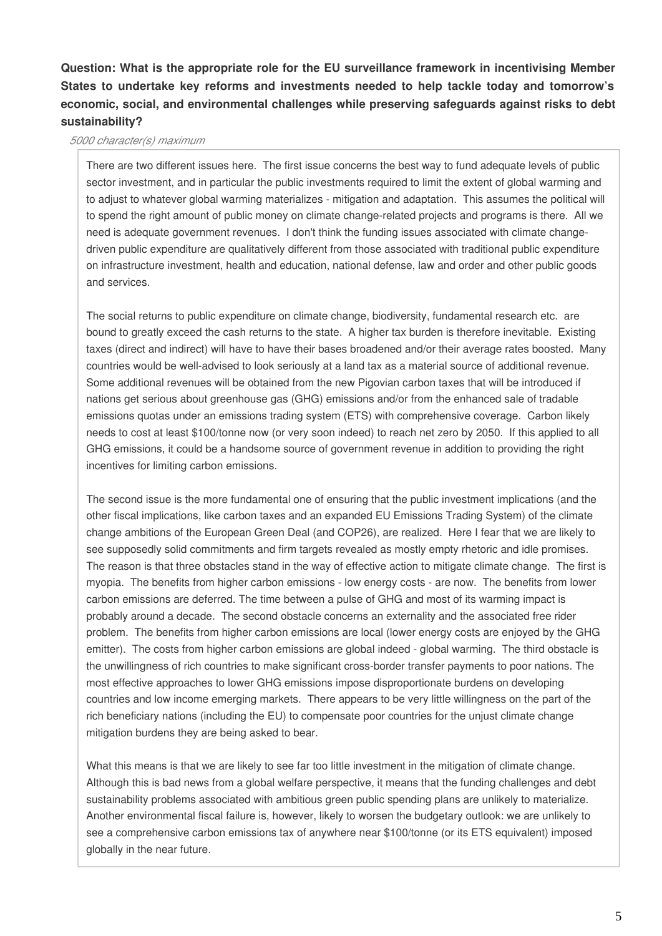**Question: What is the appropriate role for the EU surveillance framework in incentivising Member States to undertake key reforms and investments needed to help tackle today and tomorrow's economic, social, and environmental challenges while preserving safeguards against risks to debt sustainability?**

#### *5000 character(s) maximum*

There are two different issues here. The first issue concerns the best way to fund adequate levels of public sector investment, and in particular the public investments required to limit the extent of global warming and to adjust to whatever global warming materializes - mitigation and adaptation. This assumes the political will to spend the right amount of public money on climate change-related projects and programs is there. All we need is adequate government revenues. I don't think the funding issues associated with climate changedriven public expenditure are qualitatively different from those associated with traditional public expenditure on infrastructure investment, health and education, national defense, law and order and other public goods and services.

The social returns to public expenditure on climate change, biodiversity, fundamental research etc. are bound to greatly exceed the cash returns to the state. A higher tax burden is therefore inevitable. Existing taxes (direct and indirect) will have to have their bases broadened and/or their average rates boosted. Many countries would be well-advised to look seriously at a land tax as a material source of additional revenue. Some additional revenues will be obtained from the new Pigovian carbon taxes that will be introduced if nations get serious about greenhouse gas (GHG) emissions and/or from the enhanced sale of tradable emissions quotas under an emissions trading system (ETS) with comprehensive coverage. Carbon likely needs to cost at least \$100/tonne now (or very soon indeed) to reach net zero by 2050. If this applied to all GHG emissions, it could be a handsome source of government revenue in addition to providing the right incentives for limiting carbon emissions.

The second issue is the more fundamental one of ensuring that the public investment implications (and the other fiscal implications, like carbon taxes and an expanded EU Emissions Trading System) of the climate change ambitions of the European Green Deal (and COP26), are realized. Here I fear that we are likely to see supposedly solid commitments and firm targets revealed as mostly empty rhetoric and idle promises. The reason is that three obstacles stand in the way of effective action to mitigate climate change. The first is myopia. The benefits from higher carbon emissions - low energy costs - are now. The benefits from lower carbon emissions are deferred. The time between a pulse of GHG and most of its warming impact is probably around a decade. The second obstacle concerns an externality and the associated free rider problem. The benefits from higher carbon emissions are local (lower energy costs are enjoyed by the GHG emitter). The costs from higher carbon emissions are global indeed - global warming. The third obstacle is the unwillingness of rich countries to make significant cross-border transfer payments to poor nations. The most effective approaches to lower GHG emissions impose disproportionate burdens on developing countries and low income emerging markets. There appears to be very little willingness on the part of the rich beneficiary nations (including the EU) to compensate poor countries for the unjust climate change mitigation burdens they are being asked to bear.

What this means is that we are likely to see far too little investment in the mitigation of climate change. Although this is bad news from a global welfare perspective, it means that the funding challenges and debt sustainability problems associated with ambitious green public spending plans are unlikely to materialize. Another environmental fiscal failure is, however, likely to worsen the budgetary outlook: we are unlikely to see a comprehensive carbon emissions tax of anywhere near \$100/tonne (or its ETS equivalent) imposed globally in the near future.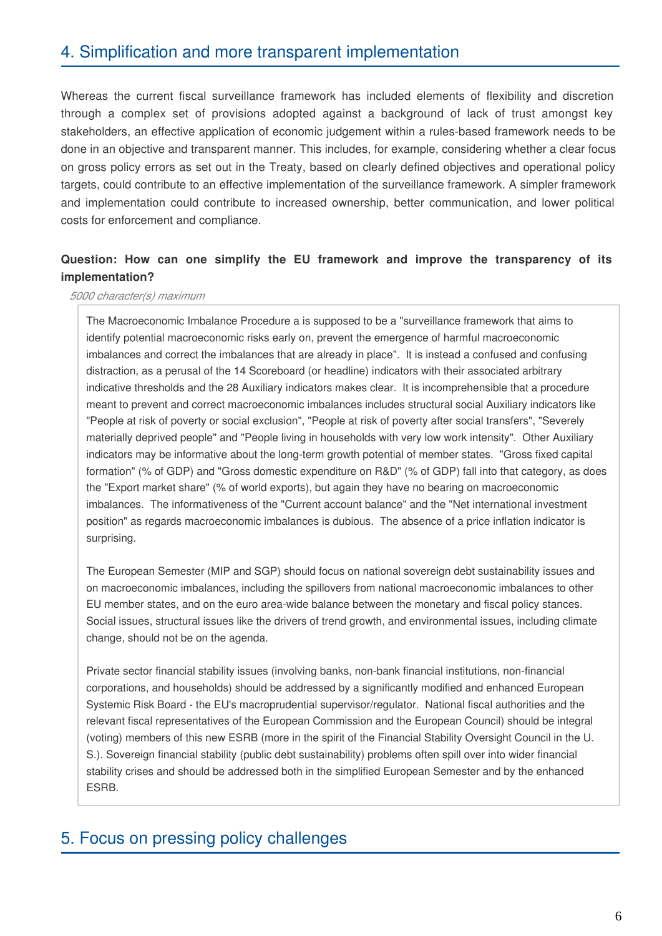# 4. Simplification and more transparent implementation

Whereas the current fiscal surveillance framework has included elements of flexibility and discretion through a complex set of provisions adopted against a background of lack of trust amongst key stakeholders, an effective application of economic judgement within a rules-based framework needs to be done in an objective and transparent manner. This includes, for example, considering whether a clear focus on gross policy errors as set out in the Treaty, based on clearly defined objectives and operational policy targets, could contribute to an effective implementation of the surveillance framework. A simpler framework and implementation could contribute to increased ownership, better communication, and lower political costs for enforcement and compliance.

#### **Question: How can one simplify the EU framework and improve the transparency of its implementation?**

#### *5000 character(s) maximum*

The Macroeconomic Imbalance Procedure a is supposed to be a "surveillance framework that aims to identify potential macroeconomic risks early on, prevent the emergence of harmful macroeconomic imbalances and correct the imbalances that are already in place". It is instead a confused and confusing distraction, as a perusal of the 14 Scoreboard (or headline) indicators with their associated arbitrary indicative thresholds and the 28 Auxiliary indicators makes clear. It is incomprehensible that a procedure meant to prevent and correct macroeconomic imbalances includes structural social Auxiliary indicators like "People at risk of poverty or social exclusion", "People at risk of poverty after social transfers", "Severely materially deprived people" and "People living in households with very low work intensity". Other Auxiliary indicators may be informative about the long-term growth potential of member states. "Gross fixed capital formation" (% of GDP) and "Gross domestic expenditure on R&D" (% of GDP) fall into that category, as does the "Export market share" (% of world exports), but again they have no bearing on macroeconomic imbalances. The informativeness of the "Current account balance" and the "Net international investment position" as regards macroeconomic imbalances is dubious. The absence of a price inflation indicator is surprising.

The European Semester (MIP and SGP) should focus on national sovereign debt sustainability issues and on macroeconomic imbalances, including the spillovers from national macroeconomic imbalances to other EU member states, and on the euro area-wide balance between the monetary and fiscal policy stances. Social issues, structural issues like the drivers of trend growth, and environmental issues, including climate change, should not be on the agenda.

Private sector financial stability issues (involving banks, non-bank financial institutions, non-financial corporations, and households) should be addressed by a significantly modified and enhanced European Systemic Risk Board - the EU's macroprudential supervisor/regulator. National fiscal authorities and the relevant fiscal representatives of the European Commission and the European Council) should be integral (voting) members of this new ESRB (more in the spirit of the Financial Stability Oversight Council in the U. S.). Sovereign financial stability (public debt sustainability) problems often spill over into wider financial stability crises and should be addressed both in the simplified European Semester and by the enhanced ESRB.

# 5. Focus on pressing policy challenges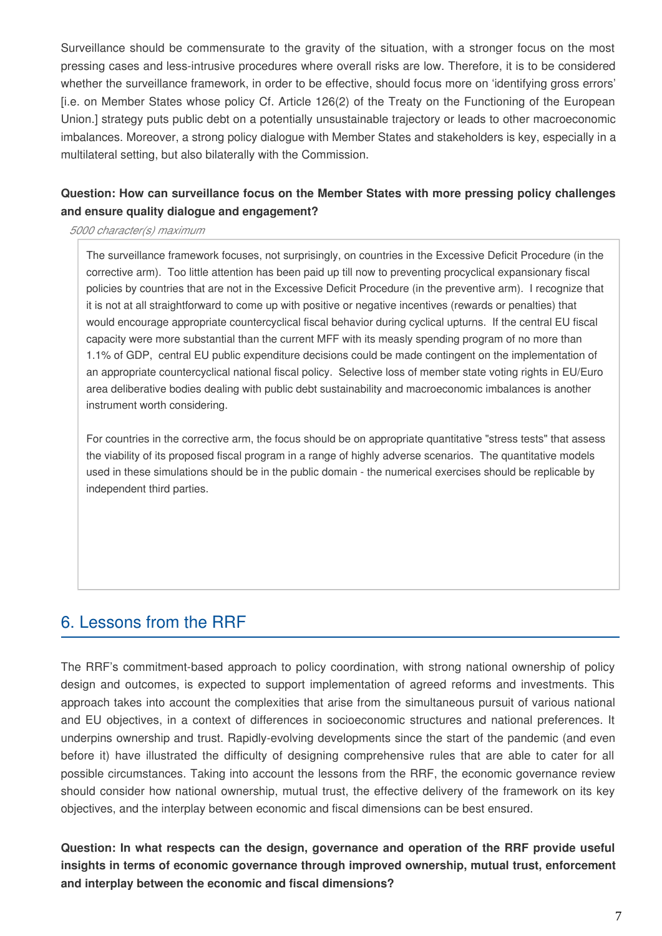Surveillance should be commensurate to the gravity of the situation, with a stronger focus on the most pressing cases and less-intrusive procedures where overall risks are low. Therefore, it is to be considered whether the surveillance framework, in order to be effective, should focus more on 'identifying gross errors' [i.e. on Member States whose policy Cf. Article 126(2) of the Treaty on the Functioning of the European Union.] strategy puts public debt on a potentially unsustainable trajectory or leads to other macroeconomic imbalances. Moreover, a strong policy dialogue with Member States and stakeholders is key, especially in a multilateral setting, but also bilaterally with the Commission.

#### **Question: How can surveillance focus on the Member States with more pressing policy challenges and ensure quality dialogue and engagement?**

*5000 character(s) maximum*

The surveillance framework focuses, not surprisingly, on countries in the Excessive Deficit Procedure (in the corrective arm). Too little attention has been paid up till now to preventing procyclical expansionary fiscal policies by countries that are not in the Excessive Deficit Procedure (in the preventive arm). I recognize that it is not at all straightforward to come up with positive or negative incentives (rewards or penalties) that would encourage appropriate countercyclical fiscal behavior during cyclical upturns. If the central EU fiscal capacity were more substantial than the current MFF with its measly spending program of no more than 1.1% of GDP, central EU public expenditure decisions could be made contingent on the implementation of an appropriate countercyclical national fiscal policy. Selective loss of member state voting rights in EU/Euro area deliberative bodies dealing with public debt sustainability and macroeconomic imbalances is another instrument worth considering.

For countries in the corrective arm, the focus should be on appropriate quantitative "stress tests" that assess the viability of its proposed fiscal program in a range of highly adverse scenarios. The quantitative models used in these simulations should be in the public domain - the numerical exercises should be replicable by independent third parties.

# 6. Lessons from the RRF

The RRF's commitment-based approach to policy coordination, with strong national ownership of policy design and outcomes, is expected to support implementation of agreed reforms and investments. This approach takes into account the complexities that arise from the simultaneous pursuit of various national and EU objectives, in a context of differences in socioeconomic structures and national preferences. It underpins ownership and trust. Rapidly-evolving developments since the start of the pandemic (and even before it) have illustrated the difficulty of designing comprehensive rules that are able to cater for all possible circumstances. Taking into account the lessons from the RRF, the economic governance review should consider how national ownership, mutual trust, the effective delivery of the framework on its key objectives, and the interplay between economic and fiscal dimensions can be best ensured.

**Question: In what respects can the design, governance and operation of the RRF provide useful insights in terms of economic governance through improved ownership, mutual trust, enforcement and interplay between the economic and fiscal dimensions?**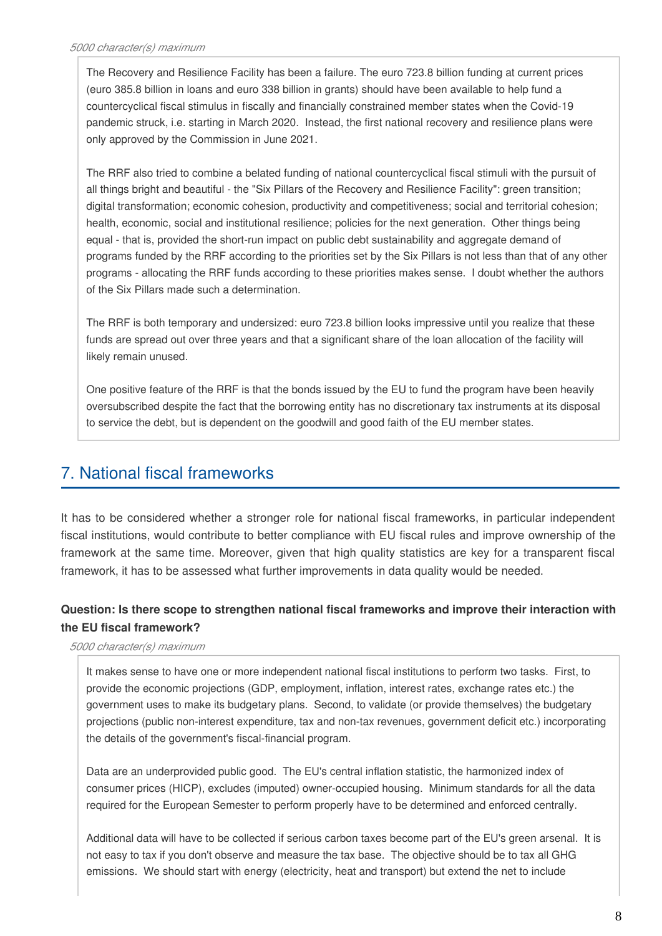The Recovery and Resilience Facility has been a failure. The euro 723.8 billion funding at current prices (euro 385.8 billion in loans and euro 338 billion in grants) should have been available to help fund a countercyclical fiscal stimulus in fiscally and financially constrained member states when the Covid-19 pandemic struck, i.e. starting in March 2020. Instead, the first national recovery and resilience plans were only approved by the Commission in June 2021.

The RRF also tried to combine a belated funding of national countercyclical fiscal stimuli with the pursuit of all things bright and beautiful - the "Six Pillars of the Recovery and Resilience Facility": green transition; digital transformation; economic cohesion, productivity and competitiveness; social and territorial cohesion; health, economic, social and institutional resilience; policies for the next generation. Other things being equal - that is, provided the short-run impact on public debt sustainability and aggregate demand of programs funded by the RRF according to the priorities set by the Six Pillars is not less than that of any other programs - allocating the RRF funds according to these priorities makes sense. I doubt whether the authors of the Six Pillars made such a determination.

The RRF is both temporary and undersized: euro 723.8 billion looks impressive until you realize that these funds are spread out over three years and that a significant share of the loan allocation of the facility will likely remain unused.

One positive feature of the RRF is that the bonds issued by the EU to fund the program have been heavily oversubscribed despite the fact that the borrowing entity has no discretionary tax instruments at its disposal to service the debt, but is dependent on the goodwill and good faith of the EU member states.

# 7. National fiscal frameworks

It has to be considered whether a stronger role for national fiscal frameworks, in particular independent fiscal institutions, would contribute to better compliance with EU fiscal rules and improve ownership of the framework at the same time. Moreover, given that high quality statistics are key for a transparent fiscal framework, it has to be assessed what further improvements in data quality would be needed.

### **Question: Is there scope to strengthen national fiscal frameworks and improve their interaction with the EU fiscal framework?**

#### *5000 character(s) maximum*

It makes sense to have one or more independent national fiscal institutions to perform two tasks. First, to provide the economic projections (GDP, employment, inflation, interest rates, exchange rates etc.) the government uses to make its budgetary plans. Second, to validate (or provide themselves) the budgetary projections (public non-interest expenditure, tax and non-tax revenues, government deficit etc.) incorporating the details of the government's fiscal-financial program.

Data are an underprovided public good. The EU's central inflation statistic, the harmonized index of consumer prices (HICP), excludes (imputed) owner-occupied housing. Minimum standards for all the data required for the European Semester to perform properly have to be determined and enforced centrally.

Additional data will have to be collected if serious carbon taxes become part of the EU's green arsenal. It is not easy to tax if you don't observe and measure the tax base. The objective should be to tax all GHG emissions. We should start with energy (electricity, heat and transport) but extend the net to include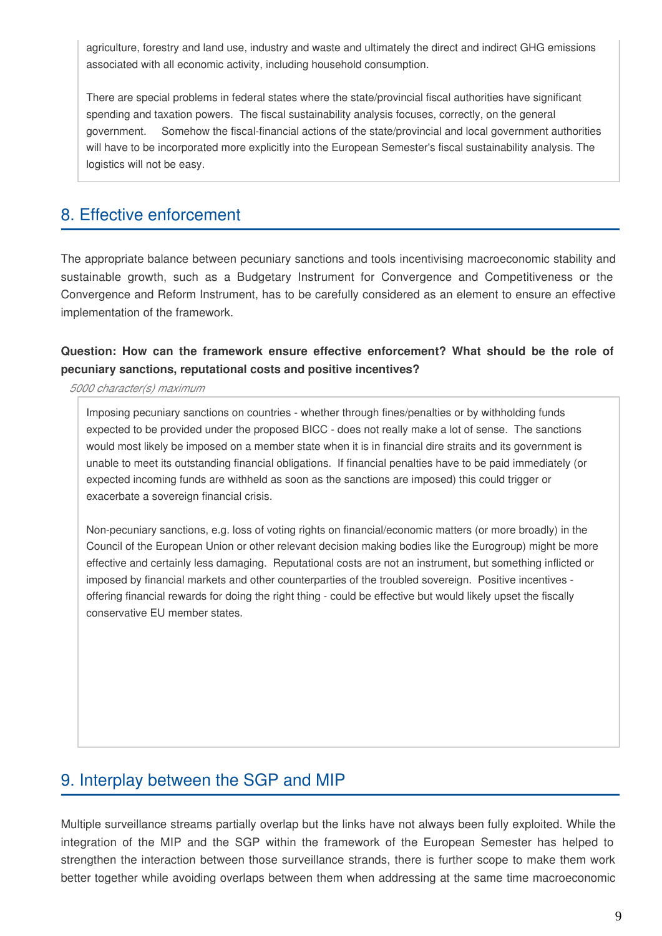agriculture, forestry and land use, industry and waste and ultimately the direct and indirect GHG emissions associated with all economic activity, including household consumption.

There are special problems in federal states where the state/provincial fiscal authorities have significant spending and taxation powers. The fiscal sustainability analysis focuses, correctly, on the general government. Somehow the fiscal-financial actions of the state/provincial and local government authorities will have to be incorporated more explicitly into the European Semester's fiscal sustainability analysis. The logistics will not be easy.

# 8. Effective enforcement

The appropriate balance between pecuniary sanctions and tools incentivising macroeconomic stability and sustainable growth, such as a Budgetary Instrument for Convergence and Competitiveness or the Convergence and Reform Instrument, has to be carefully considered as an element to ensure an effective implementation of the framework.

### **Question: How can the framework ensure effective enforcement? What should be the role of pecuniary sanctions, reputational costs and positive incentives?**

*5000 character(s) maximum*

Imposing pecuniary sanctions on countries - whether through fines/penalties or by withholding funds expected to be provided under the proposed BICC - does not really make a lot of sense. The sanctions would most likely be imposed on a member state when it is in financial dire straits and its government is unable to meet its outstanding financial obligations. If financial penalties have to be paid immediately (or expected incoming funds are withheld as soon as the sanctions are imposed) this could trigger or exacerbate a sovereign financial crisis.

Non-pecuniary sanctions, e.g. loss of voting rights on financial/economic matters (or more broadly) in the Council of the European Union or other relevant decision making bodies like the Eurogroup) might be more effective and certainly less damaging. Reputational costs are not an instrument, but something inflicted or imposed by financial markets and other counterparties of the troubled sovereign. Positive incentives offering financial rewards for doing the right thing - could be effective but would likely upset the fiscally conservative EU member states.

### 9. Interplay between the SGP and MIP

Multiple surveillance streams partially overlap but the links have not always been fully exploited. While the integration of the MIP and the SGP within the framework of the European Semester has helped to strengthen the interaction between those surveillance strands, there is further scope to make them work better together while avoiding overlaps between them when addressing at the same time macroeconomic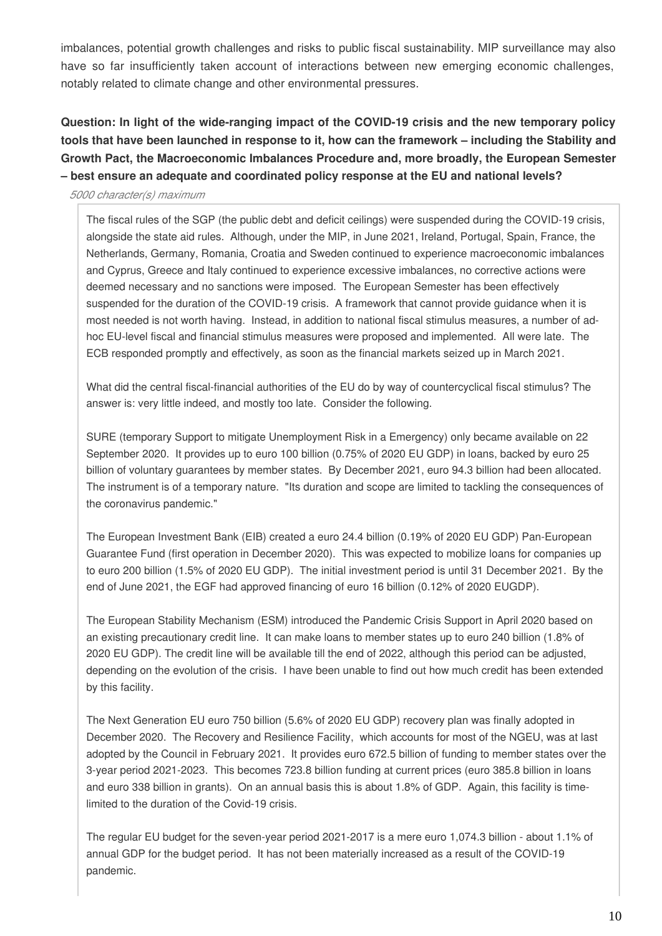imbalances, potential growth challenges and risks to public fiscal sustainability. MIP surveillance may also have so far insufficiently taken account of interactions between new emerging economic challenges, notably related to climate change and other environmental pressures.

### **Question: In light of the wide-ranging impact of the COVID-19 crisis and the new temporary policy tools that have been launched in response to it, how can the framework – including the Stability and Growth Pact, the Macroeconomic Imbalances Procedure and, more broadly, the European Semester – best ensure an adequate and coordinated policy response at the EU and national levels?**

#### *5000 character(s) maximum*

The fiscal rules of the SGP (the public debt and deficit ceilings) were suspended during the COVID-19 crisis, alongside the state aid rules. Although, under the MIP, in June 2021, Ireland, Portugal, Spain, France, the Netherlands, Germany, Romania, Croatia and Sweden continued to experience macroeconomic imbalances and Cyprus, Greece and Italy continued to experience excessive imbalances, no corrective actions were deemed necessary and no sanctions were imposed. The European Semester has been effectively suspended for the duration of the COVID-19 crisis. A framework that cannot provide guidance when it is most needed is not worth having. Instead, in addition to national fiscal stimulus measures, a number of adhoc EU-level fiscal and financial stimulus measures were proposed and implemented. All were late. The ECB responded promptly and effectively, as soon as the financial markets seized up in March 2021.

What did the central fiscal-financial authorities of the EU do by way of countercyclical fiscal stimulus? The answer is: very little indeed, and mostly too late. Consider the following.

SURE (temporary Support to mitigate Unemployment Risk in a Emergency) only became available on 22 September 2020. It provides up to euro 100 billion (0.75% of 2020 EU GDP) in loans, backed by euro 25 billion of voluntary guarantees by member states. By December 2021, euro 94.3 billion had been allocated. The instrument is of a temporary nature. "Its duration and scope are limited to tackling the consequences of the coronavirus pandemic."

The European Investment Bank (EIB) created a euro 24.4 billion (0.19% of 2020 EU GDP) Pan-European Guarantee Fund (first operation in December 2020). This was expected to mobilize loans for companies up to euro 200 billion (1.5% of 2020 EU GDP). The initial investment period is until 31 December 2021. By the end of June 2021, the EGF had approved financing of euro 16 billion (0.12% of 2020 EUGDP).

The European Stability Mechanism (ESM) introduced the Pandemic Crisis Support in April 2020 based on an existing precautionary credit line. It can make loans to member states up to euro 240 billion (1.8% of 2020 EU GDP). The credit line will be available till the end of 2022, although this period can be adjusted, depending on the evolution of the crisis. I have been unable to find out how much credit has been extended by this facility.

The Next Generation EU euro 750 billion (5.6% of 2020 EU GDP) recovery plan was finally adopted in December 2020. The Recovery and Resilience Facility, which accounts for most of the NGEU, was at last adopted by the Council in February 2021. It provides euro 672.5 billion of funding to member states over the 3-year period 2021-2023. This becomes 723.8 billion funding at current prices (euro 385.8 billion in loans and euro 338 billion in grants). On an annual basis this is about 1.8% of GDP. Again, this facility is timelimited to the duration of the Covid-19 crisis.

The regular EU budget for the seven-year period 2021-2017 is a mere euro 1,074.3 billion - about 1.1% of annual GDP for the budget period. It has not been materially increased as a result of the COVID-19 pandemic.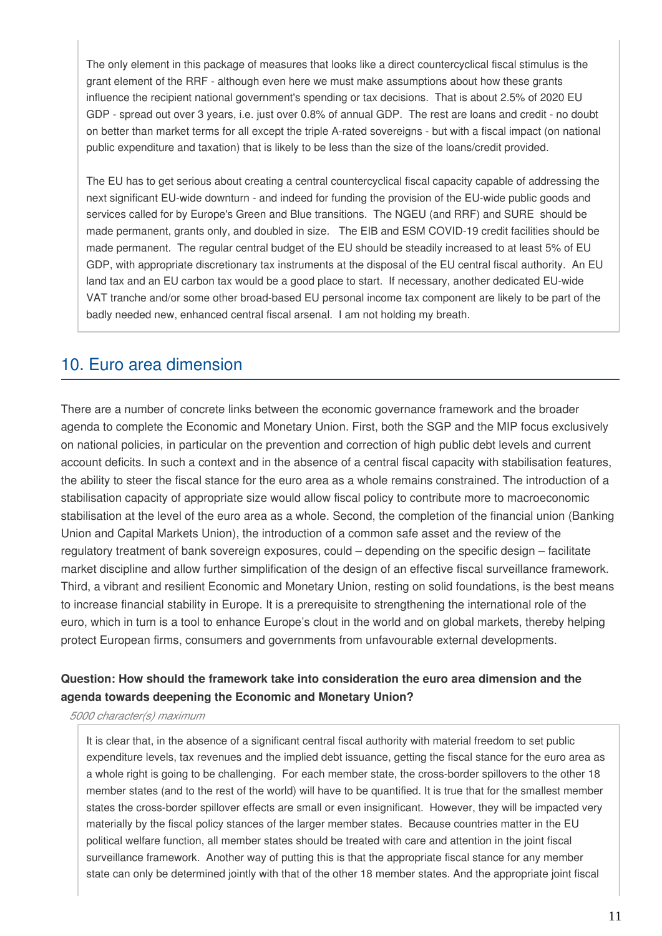The only element in this package of measures that looks like a direct countercyclical fiscal stimulus is the grant element of the RRF - although even here we must make assumptions about how these grants influence the recipient national government's spending or tax decisions. That is about 2.5% of 2020 EU GDP - spread out over 3 years, i.e. just over 0.8% of annual GDP. The rest are loans and credit - no doubt on better than market terms for all except the triple A-rated sovereigns - but with a fiscal impact (on national public expenditure and taxation) that is likely to be less than the size of the loans/credit provided.

The EU has to get serious about creating a central countercyclical fiscal capacity capable of addressing the next significant EU-wide downturn - and indeed for funding the provision of the EU-wide public goods and services called for by Europe's Green and Blue transitions. The NGEU (and RRF) and SURE should be made permanent, grants only, and doubled in size. The EIB and ESM COVID-19 credit facilities should be made permanent. The regular central budget of the EU should be steadily increased to at least 5% of EU GDP, with appropriate discretionary tax instruments at the disposal of the EU central fiscal authority. An EU land tax and an EU carbon tax would be a good place to start. If necessary, another dedicated EU-wide VAT tranche and/or some other broad-based EU personal income tax component are likely to be part of the badly needed new, enhanced central fiscal arsenal. I am not holding my breath.

# 10. Euro area dimension

There are a number of concrete links between the economic governance framework and the broader agenda to complete the Economic and Monetary Union. First, both the SGP and the MIP focus exclusively on national policies, in particular on the prevention and correction of high public debt levels and current account deficits. In such a context and in the absence of a central fiscal capacity with stabilisation features, the ability to steer the fiscal stance for the euro area as a whole remains constrained. The introduction of a stabilisation capacity of appropriate size would allow fiscal policy to contribute more to macroeconomic stabilisation at the level of the euro area as a whole. Second, the completion of the financial union (Banking Union and Capital Markets Union), the introduction of a common safe asset and the review of the regulatory treatment of bank sovereign exposures, could – depending on the specific design – facilitate market discipline and allow further simplification of the design of an effective fiscal surveillance framework. Third, a vibrant and resilient Economic and Monetary Union, resting on solid foundations, is the best means to increase financial stability in Europe. It is a prerequisite to strengthening the international role of the euro, which in turn is a tool to enhance Europe's clout in the world and on global markets, thereby helping protect European firms, consumers and governments from unfavourable external developments.

### **Question: How should the framework take into consideration the euro area dimension and the agenda towards deepening the Economic and Monetary Union?**

*5000 character(s) maximum*

It is clear that, in the absence of a significant central fiscal authority with material freedom to set public expenditure levels, tax revenues and the implied debt issuance, getting the fiscal stance for the euro area as a whole right is going to be challenging. For each member state, the cross-border spillovers to the other 18 member states (and to the rest of the world) will have to be quantified. It is true that for the smallest member states the cross-border spillover effects are small or even insignificant. However, they will be impacted very materially by the fiscal policy stances of the larger member states. Because countries matter in the EU political welfare function, all member states should be treated with care and attention in the joint fiscal surveillance framework. Another way of putting this is that the appropriate fiscal stance for any member state can only be determined jointly with that of the other 18 member states. And the appropriate joint fiscal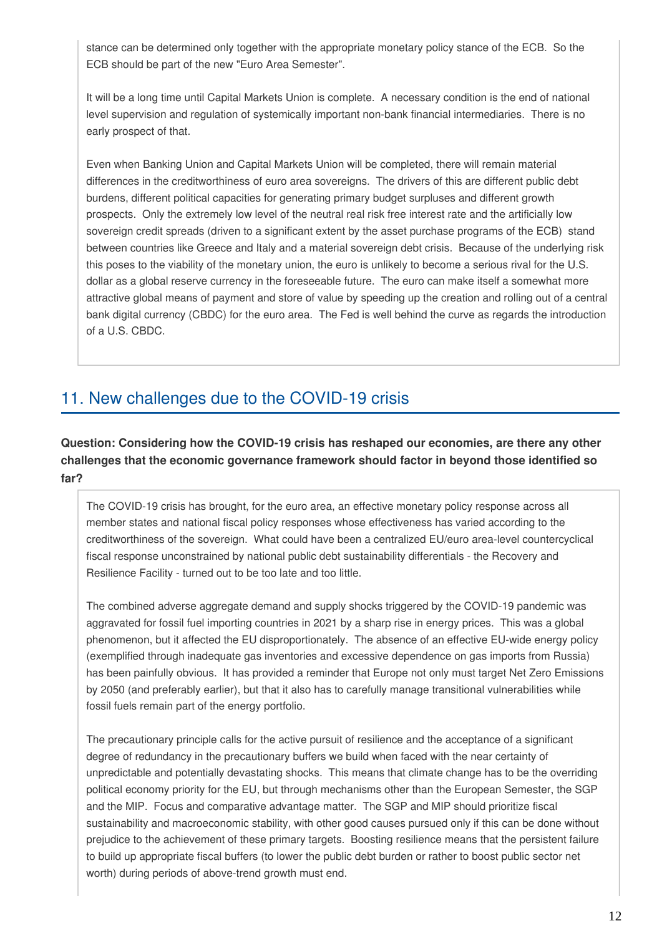stance can be determined only together with the appropriate monetary policy stance of the ECB. So the ECB should be part of the new "Euro Area Semester".

It will be a long time until Capital Markets Union is complete. A necessary condition is the end of national level supervision and regulation of systemically important non-bank financial intermediaries. There is no early prospect of that.

Even when Banking Union and Capital Markets Union will be completed, there will remain material differences in the creditworthiness of euro area sovereigns. The drivers of this are different public debt burdens, different political capacities for generating primary budget surpluses and different growth prospects. Only the extremely low level of the neutral real risk free interest rate and the artificially low sovereign credit spreads (driven to a significant extent by the asset purchase programs of the ECB) stand between countries like Greece and Italy and a material sovereign debt crisis. Because of the underlying risk this poses to the viability of the monetary union, the euro is unlikely to become a serious rival for the U.S. dollar as a global reserve currency in the foreseeable future. The euro can make itself a somewhat more attractive global means of payment and store of value by speeding up the creation and rolling out of a central bank digital currency (CBDC) for the euro area. The Fed is well behind the curve as regards the introduction of a U.S. CBDC.

# 11. New challenges due to the COVID-19 crisis

### **Question: Considering how the COVID-19 crisis has reshaped our economies, are there any other challenges that the economic governance framework should factor in beyond those identified so far?**

The COVID-19 crisis has brought, for the euro area, an effective monetary policy response across all member states and national fiscal policy responses whose effectiveness has varied according to the creditworthiness of the sovereign. What could have been a centralized EU/euro area-level countercyclical fiscal response unconstrained by national public debt sustainability differentials - the Recovery and Resilience Facility - turned out to be too late and too little.

The combined adverse aggregate demand and supply shocks triggered by the COVID-19 pandemic was aggravated for fossil fuel importing countries in 2021 by a sharp rise in energy prices. This was a global phenomenon, but it affected the EU disproportionately. The absence of an effective EU-wide energy policy (exemplified through inadequate gas inventories and excessive dependence on gas imports from Russia) has been painfully obvious. It has provided a reminder that Europe not only must target Net Zero Emissions by 2050 (and preferably earlier), but that it also has to carefully manage transitional vulnerabilities while fossil fuels remain part of the energy portfolio.

The precautionary principle calls for the active pursuit of resilience and the acceptance of a significant degree of redundancy in the precautionary buffers we build when faced with the near certainty of unpredictable and potentially devastating shocks. This means that climate change has to be the overriding political economy priority for the EU, but through mechanisms other than the European Semester, the SGP and the MIP. Focus and comparative advantage matter. The SGP and MIP should prioritize fiscal sustainability and macroeconomic stability, with other good causes pursued only if this can be done without prejudice to the achievement of these primary targets. Boosting resilience means that the persistent failure to build up appropriate fiscal buffers (to lower the public debt burden or rather to boost public sector net worth) during periods of above-trend growth must end.